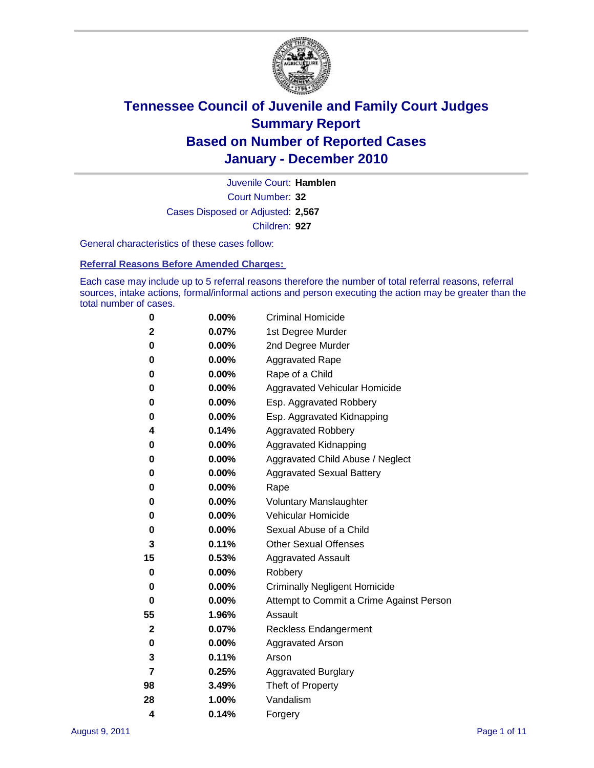

Court Number: **32** Juvenile Court: **Hamblen** Cases Disposed or Adjusted: **2,567** Children: **927**

General characteristics of these cases follow:

**Referral Reasons Before Amended Charges:** 

Each case may include up to 5 referral reasons therefore the number of total referral reasons, referral sources, intake actions, formal/informal actions and person executing the action may be greater than the total number of cases.

| 0  | 0.00%    | <b>Criminal Homicide</b>                 |
|----|----------|------------------------------------------|
| 2  | 0.07%    | 1st Degree Murder                        |
| 0  | 0.00%    | 2nd Degree Murder                        |
| 0  | 0.00%    | <b>Aggravated Rape</b>                   |
| 0  | 0.00%    | Rape of a Child                          |
| 0  | 0.00%    | Aggravated Vehicular Homicide            |
| 0  | 0.00%    | Esp. Aggravated Robbery                  |
| 0  | 0.00%    | Esp. Aggravated Kidnapping               |
| 4  | 0.14%    | <b>Aggravated Robbery</b>                |
| 0  | 0.00%    | Aggravated Kidnapping                    |
| 0  | 0.00%    | Aggravated Child Abuse / Neglect         |
| 0  | $0.00\%$ | <b>Aggravated Sexual Battery</b>         |
| 0  | 0.00%    | Rape                                     |
| 0  | 0.00%    | <b>Voluntary Manslaughter</b>            |
| 0  | 0.00%    | Vehicular Homicide                       |
| 0  | 0.00%    | Sexual Abuse of a Child                  |
| 3  | 0.11%    | <b>Other Sexual Offenses</b>             |
| 15 | 0.53%    | <b>Aggravated Assault</b>                |
| 0  | $0.00\%$ | Robbery                                  |
| 0  | 0.00%    | <b>Criminally Negligent Homicide</b>     |
| 0  | 0.00%    | Attempt to Commit a Crime Against Person |
| 55 | 1.96%    | Assault                                  |
| 2  | 0.07%    | <b>Reckless Endangerment</b>             |
| 0  | 0.00%    | <b>Aggravated Arson</b>                  |
| 3  | 0.11%    | Arson                                    |
| 7  | 0.25%    | <b>Aggravated Burglary</b>               |
| 98 | 3.49%    | Theft of Property                        |
| 28 | 1.00%    | Vandalism                                |
| 4  | 0.14%    | Forgery                                  |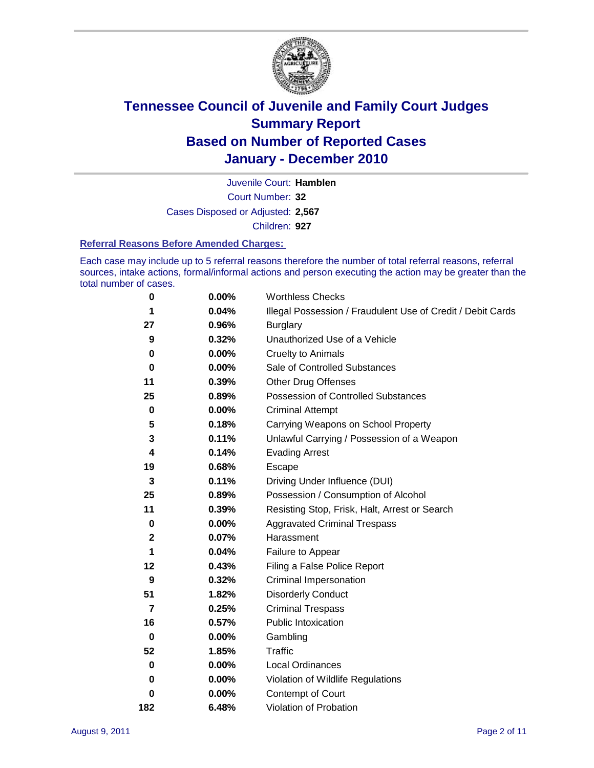

Court Number: **32** Juvenile Court: **Hamblen** Cases Disposed or Adjusted: **2,567** Children: **927**

#### **Referral Reasons Before Amended Charges:**

Each case may include up to 5 referral reasons therefore the number of total referral reasons, referral sources, intake actions, formal/informal actions and person executing the action may be greater than the total number of cases.

| $\pmb{0}$      | 0.00%    | <b>Worthless Checks</b>                                     |
|----------------|----------|-------------------------------------------------------------|
| 1              | 0.04%    | Illegal Possession / Fraudulent Use of Credit / Debit Cards |
| 27             | 0.96%    | <b>Burglary</b>                                             |
| 9              | 0.32%    | Unauthorized Use of a Vehicle                               |
| 0              | $0.00\%$ | <b>Cruelty to Animals</b>                                   |
| $\bf{0}$       | $0.00\%$ | Sale of Controlled Substances                               |
| 11             | 0.39%    | <b>Other Drug Offenses</b>                                  |
| 25             | 0.89%    | Possession of Controlled Substances                         |
| $\mathbf 0$    | $0.00\%$ | <b>Criminal Attempt</b>                                     |
| 5              | 0.18%    | Carrying Weapons on School Property                         |
| 3              | 0.11%    | Unlawful Carrying / Possession of a Weapon                  |
| 4              | 0.14%    | <b>Evading Arrest</b>                                       |
| 19             | 0.68%    | Escape                                                      |
| 3              | 0.11%    | Driving Under Influence (DUI)                               |
| 25             | 0.89%    | Possession / Consumption of Alcohol                         |
| 11             | 0.39%    | Resisting Stop, Frisk, Halt, Arrest or Search               |
| $\mathbf 0$    | $0.00\%$ | <b>Aggravated Criminal Trespass</b>                         |
| $\mathbf 2$    | 0.07%    | Harassment                                                  |
| 1              | 0.04%    | Failure to Appear                                           |
| 12             | 0.43%    | Filing a False Police Report                                |
| 9              | 0.32%    | Criminal Impersonation                                      |
| 51             | 1.82%    | <b>Disorderly Conduct</b>                                   |
| $\overline{7}$ | 0.25%    | <b>Criminal Trespass</b>                                    |
| 16             | 0.57%    | <b>Public Intoxication</b>                                  |
| 0              | $0.00\%$ | Gambling                                                    |
| 52             | 1.85%    | <b>Traffic</b>                                              |
| 0              | $0.00\%$ | <b>Local Ordinances</b>                                     |
| 0              | $0.00\%$ | Violation of Wildlife Regulations                           |
| 0              | $0.00\%$ | Contempt of Court                                           |
| 182            | 6.48%    | Violation of Probation                                      |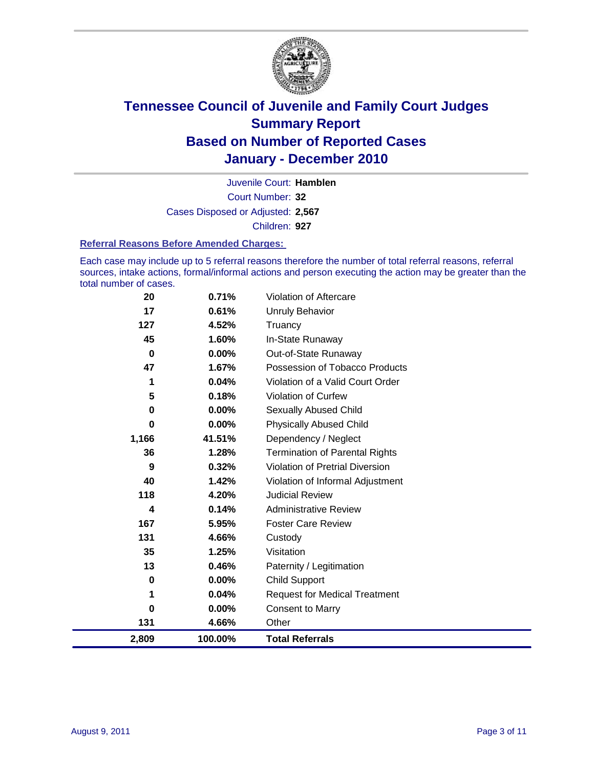

Court Number: **32** Juvenile Court: **Hamblen** Cases Disposed or Adjusted: **2,567** Children: **927**

#### **Referral Reasons Before Amended Charges:**

Each case may include up to 5 referral reasons therefore the number of total referral reasons, referral sources, intake actions, formal/informal actions and person executing the action may be greater than the total number of cases.

| 20    | 0.71%   | Violation of Aftercare                 |
|-------|---------|----------------------------------------|
| 17    | 0.61%   | <b>Unruly Behavior</b>                 |
| 127   | 4.52%   | Truancy                                |
| 45    | 1.60%   | In-State Runaway                       |
| 0     | 0.00%   | Out-of-State Runaway                   |
| 47    | 1.67%   | Possession of Tobacco Products         |
| 1     | 0.04%   | Violation of a Valid Court Order       |
| 5     | 0.18%   | <b>Violation of Curfew</b>             |
| 0     | 0.00%   | Sexually Abused Child                  |
| 0     | 0.00%   | <b>Physically Abused Child</b>         |
| 1,166 | 41.51%  | Dependency / Neglect                   |
| 36    | 1.28%   | <b>Termination of Parental Rights</b>  |
| 9     | 0.32%   | <b>Violation of Pretrial Diversion</b> |
| 40    | 1.42%   | Violation of Informal Adjustment       |
| 118   | 4.20%   | <b>Judicial Review</b>                 |
| 4     | 0.14%   | <b>Administrative Review</b>           |
| 167   | 5.95%   | <b>Foster Care Review</b>              |
| 131   | 4.66%   | Custody                                |
| 35    | 1.25%   | Visitation                             |
| 13    | 0.46%   | Paternity / Legitimation               |
| 0     | 0.00%   | <b>Child Support</b>                   |
| 1     | 0.04%   | <b>Request for Medical Treatment</b>   |
| 0     | 0.00%   | <b>Consent to Marry</b>                |
| 131   | 4.66%   | Other                                  |
| 2,809 | 100.00% | <b>Total Referrals</b>                 |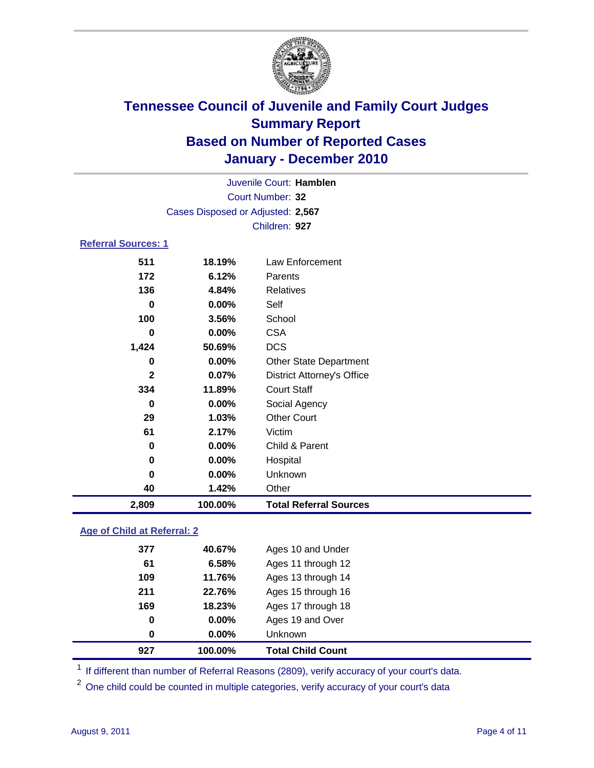

| Juvenile Court: Hamblen    |                                   |                                   |  |  |
|----------------------------|-----------------------------------|-----------------------------------|--|--|
|                            | Court Number: 32                  |                                   |  |  |
|                            | Cases Disposed or Adjusted: 2,567 |                                   |  |  |
|                            |                                   | Children: 927                     |  |  |
| <b>Referral Sources: 1</b> |                                   |                                   |  |  |
| 511                        | 18.19%                            | Law Enforcement                   |  |  |
| 172                        | 6.12%                             | Parents                           |  |  |
| 136                        | 4.84%                             | <b>Relatives</b>                  |  |  |
| $\bf{0}$                   | 0.00%                             | Self                              |  |  |
| 100                        | 3.56%                             | School                            |  |  |
| 0                          | 0.00%                             | <b>CSA</b>                        |  |  |
| 1,424                      | 50.69%                            | <b>DCS</b>                        |  |  |
| 0                          | 0.00%                             | <b>Other State Department</b>     |  |  |
| $\mathbf{2}$               | 0.07%                             | <b>District Attorney's Office</b> |  |  |
| 334                        | 11.89%                            | <b>Court Staff</b>                |  |  |
| $\bf{0}$                   | 0.00%                             | Social Agency                     |  |  |
| 29                         | 1.03%                             | <b>Other Court</b>                |  |  |
| 61                         | 2.17%                             | Victim                            |  |  |
| 0                          | 0.00%                             | Child & Parent                    |  |  |
| $\mathbf 0$                | 0.00%                             | Hospital                          |  |  |
| $\bf{0}$                   | 0.00%                             | Unknown                           |  |  |
| 40                         | 1.42%                             | Other                             |  |  |
| 2,809                      | 100.00%                           | <b>Total Referral Sources</b>     |  |  |

### **Age of Child at Referral: 2**

| $\bf{0}$ | 0.00%  | <b>Unknown</b>     |
|----------|--------|--------------------|
|          |        |                    |
| 0        | 0.00%  | Ages 19 and Over   |
| 169      | 18.23% | Ages 17 through 18 |
| 211      | 22.76% | Ages 15 through 16 |
| 109      | 11.76% | Ages 13 through 14 |
| 61       | 6.58%  | Ages 11 through 12 |
| 377      | 40.67% | Ages 10 and Under  |
|          |        |                    |

<sup>1</sup> If different than number of Referral Reasons (2809), verify accuracy of your court's data.

<sup>2</sup> One child could be counted in multiple categories, verify accuracy of your court's data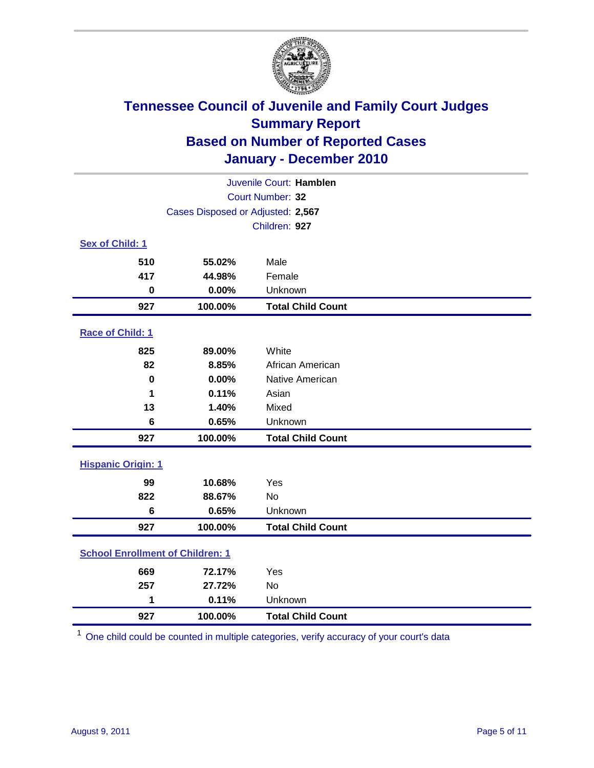

| Juvenile Court: Hamblen                 |                                   |                          |  |  |
|-----------------------------------------|-----------------------------------|--------------------------|--|--|
|                                         | Court Number: 32                  |                          |  |  |
|                                         | Cases Disposed or Adjusted: 2,567 |                          |  |  |
|                                         |                                   | Children: 927            |  |  |
| Sex of Child: 1                         |                                   |                          |  |  |
| 510                                     | 55.02%                            | Male                     |  |  |
| 417                                     | 44.98%                            | Female                   |  |  |
| $\bf{0}$                                | 0.00%                             | Unknown                  |  |  |
| 927                                     | 100.00%                           | <b>Total Child Count</b> |  |  |
| Race of Child: 1                        |                                   |                          |  |  |
| 825                                     | 89.00%                            | White                    |  |  |
| 82                                      | 8.85%                             | African American         |  |  |
| $\mathbf 0$                             | 0.00%                             | Native American          |  |  |
| 1                                       | 0.11%                             | Asian                    |  |  |
| 13                                      | 1.40%                             | Mixed                    |  |  |
| 6                                       | 0.65%                             | Unknown                  |  |  |
| 927                                     | 100.00%                           | <b>Total Child Count</b> |  |  |
| <b>Hispanic Origin: 1</b>               |                                   |                          |  |  |
| 99                                      | 10.68%                            | Yes                      |  |  |
| 822                                     | 88.67%                            | <b>No</b>                |  |  |
| $6\phantom{1}$                          | 0.65%                             | Unknown                  |  |  |
| 927                                     | 100.00%                           | <b>Total Child Count</b> |  |  |
| <b>School Enrollment of Children: 1</b> |                                   |                          |  |  |
| 669                                     | 72.17%                            | Yes                      |  |  |
| 257                                     | 27.72%                            | No                       |  |  |
| 1                                       | 0.11%                             | Unknown                  |  |  |
| 927                                     | 100.00%                           | <b>Total Child Count</b> |  |  |

One child could be counted in multiple categories, verify accuracy of your court's data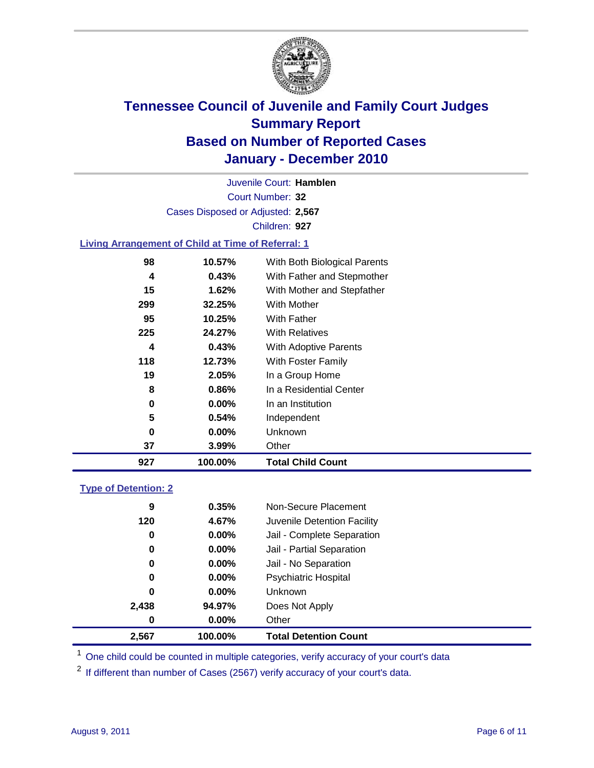

Court Number: **32** Juvenile Court: **Hamblen** Cases Disposed or Adjusted: **2,567** Children: **927**

### **Living Arrangement of Child at Time of Referral: 1**

| 927 | 100.00%       | <b>Total Child Count</b>     |
|-----|---------------|------------------------------|
|     | 37<br>3.99%   | Other                        |
|     | 0<br>$0.00\%$ | Unknown                      |
|     | 5<br>0.54%    | Independent                  |
|     | $0.00\%$<br>0 | In an Institution            |
|     | 8<br>0.86%    | In a Residential Center      |
|     | 19<br>2.05%   | In a Group Home              |
| 118 | 12.73%        | With Foster Family           |
|     | 0.43%<br>4    | <b>With Adoptive Parents</b> |
| 225 | 24.27%        | <b>With Relatives</b>        |
|     | 95<br>10.25%  | With Father                  |
| 299 | 32.25%        | <b>With Mother</b>           |
|     | 15<br>1.62%   | With Mother and Stepfather   |
|     | 0.43%<br>4    | With Father and Stepmother   |
|     | 98<br>10.57%  | With Both Biological Parents |
|     |               |                              |

### **Type of Detention: 2**

| 2,567 | 100.00%  | <b>Total Detention Count</b> |  |
|-------|----------|------------------------------|--|
| 0     | $0.00\%$ | Other                        |  |
| 2,438 | 94.97%   | Does Not Apply               |  |
| 0     | $0.00\%$ | Unknown                      |  |
| 0     | 0.00%    | <b>Psychiatric Hospital</b>  |  |
| 0     | 0.00%    | Jail - No Separation         |  |
| 0     | $0.00\%$ | Jail - Partial Separation    |  |
| 0     | 0.00%    | Jail - Complete Separation   |  |
| 120   | 4.67%    | Juvenile Detention Facility  |  |
| 9     | 0.35%    | Non-Secure Placement         |  |
|       |          |                              |  |

<sup>1</sup> One child could be counted in multiple categories, verify accuracy of your court's data

<sup>2</sup> If different than number of Cases (2567) verify accuracy of your court's data.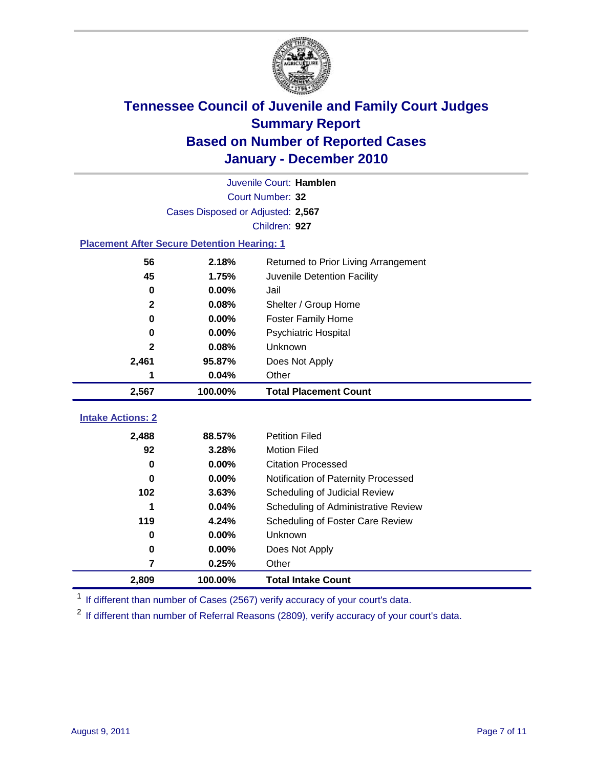

|                                                    | Juvenile Court: Hamblen           |                                      |  |  |  |
|----------------------------------------------------|-----------------------------------|--------------------------------------|--|--|--|
|                                                    | Court Number: 32                  |                                      |  |  |  |
|                                                    | Cases Disposed or Adjusted: 2,567 |                                      |  |  |  |
|                                                    |                                   | Children: 927                        |  |  |  |
| <b>Placement After Secure Detention Hearing: 1</b> |                                   |                                      |  |  |  |
| 56                                                 | 2.18%                             | Returned to Prior Living Arrangement |  |  |  |
| 45                                                 | 1.75%                             | Juvenile Detention Facility          |  |  |  |
| $\bf{0}$                                           | 0.00%                             | Jail                                 |  |  |  |
| $\mathbf{2}$                                       | 0.08%                             | Shelter / Group Home                 |  |  |  |
| $\mathbf 0$                                        | 0.00%                             | <b>Foster Family Home</b>            |  |  |  |
| 0                                                  | 0.00%                             | Psychiatric Hospital                 |  |  |  |
| $\mathbf{2}$                                       | 0.08%                             | Unknown                              |  |  |  |
| 2,461                                              | 95.87%                            | Does Not Apply                       |  |  |  |
| 1                                                  | 0.04%                             | Other                                |  |  |  |
| 2,567                                              | 100.00%                           | <b>Total Placement Count</b>         |  |  |  |
| <b>Intake Actions: 2</b>                           |                                   |                                      |  |  |  |
|                                                    |                                   |                                      |  |  |  |
| 2,488                                              | 88.57%                            | <b>Petition Filed</b>                |  |  |  |
| 92                                                 | 3.28%                             | <b>Motion Filed</b>                  |  |  |  |
| $\bf{0}$                                           | 0.00%                             | <b>Citation Processed</b>            |  |  |  |
| 0                                                  | 0.00%                             | Notification of Paternity Processed  |  |  |  |
| 102                                                | 3.63%                             | Scheduling of Judicial Review        |  |  |  |
| 1                                                  | 0.04%                             | Scheduling of Administrative Review  |  |  |  |
| 119                                                | 4.24%                             | Scheduling of Foster Care Review     |  |  |  |
| $\bf{0}$                                           | 0.00%                             | Unknown                              |  |  |  |
| $\bf{0}$                                           | 0.00%                             | Does Not Apply                       |  |  |  |
| 7                                                  | 0.25%                             | Other                                |  |  |  |
| 2,809                                              | 100.00%                           | <b>Total Intake Count</b>            |  |  |  |

<sup>1</sup> If different than number of Cases (2567) verify accuracy of your court's data.

<sup>2</sup> If different than number of Referral Reasons (2809), verify accuracy of your court's data.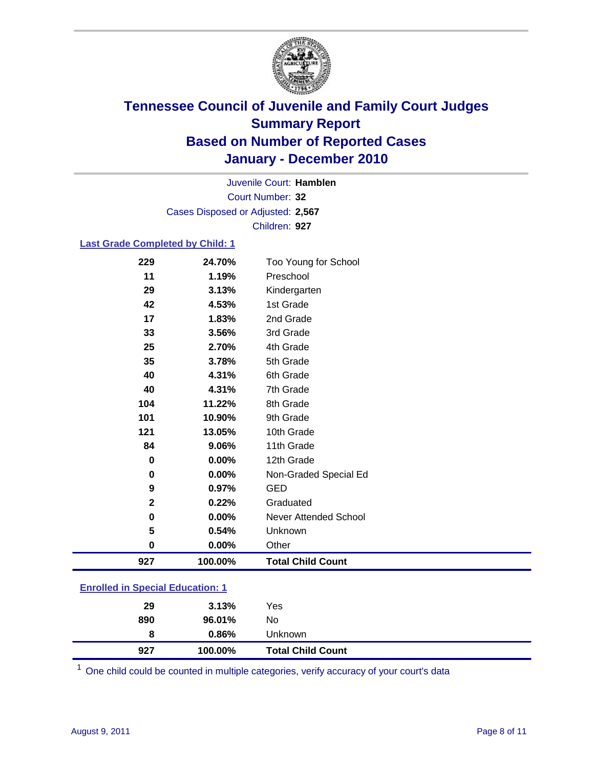

Court Number: **32** Juvenile Court: **Hamblen** Cases Disposed or Adjusted: **2,567** Children: **927**

### **Last Grade Completed by Child: 1**

| 229                                     | 24.70%  | Too Young for School         |  |
|-----------------------------------------|---------|------------------------------|--|
| 11                                      | 1.19%   | Preschool                    |  |
| 29                                      | 3.13%   | Kindergarten                 |  |
| 42                                      | 4.53%   | 1st Grade                    |  |
| 17                                      | 1.83%   | 2nd Grade                    |  |
| 33                                      | 3.56%   | 3rd Grade                    |  |
| 25                                      | 2.70%   | 4th Grade                    |  |
| 35                                      | 3.78%   | 5th Grade                    |  |
| 40                                      | 4.31%   | 6th Grade                    |  |
| 40                                      | 4.31%   | 7th Grade                    |  |
| 104                                     | 11.22%  | 8th Grade                    |  |
| 101                                     | 10.90%  | 9th Grade                    |  |
| 121                                     | 13.05%  | 10th Grade                   |  |
| 84                                      | 9.06%   | 11th Grade                   |  |
| $\mathbf 0$                             | 0.00%   | 12th Grade                   |  |
| 0                                       | 0.00%   | Non-Graded Special Ed        |  |
| 9                                       | 0.97%   | <b>GED</b>                   |  |
| $\overline{\mathbf{2}}$                 | 0.22%   | Graduated                    |  |
| 0                                       | 0.00%   | <b>Never Attended School</b> |  |
| 5                                       | 0.54%   | Unknown                      |  |
| 0                                       | 0.00%   | Other                        |  |
| 927                                     | 100.00% | <b>Total Child Count</b>     |  |
| <b>Enrolled in Special Education: 1</b> |         |                              |  |

| 927 | 100.00% | <b>Total Child Count</b> |
|-----|---------|--------------------------|
| 8   | 0.86%   | <b>Unknown</b>           |
| 890 | 96.01%  | No                       |
| 29  | 3.13%   | Yes                      |
|     |         |                          |

One child could be counted in multiple categories, verify accuracy of your court's data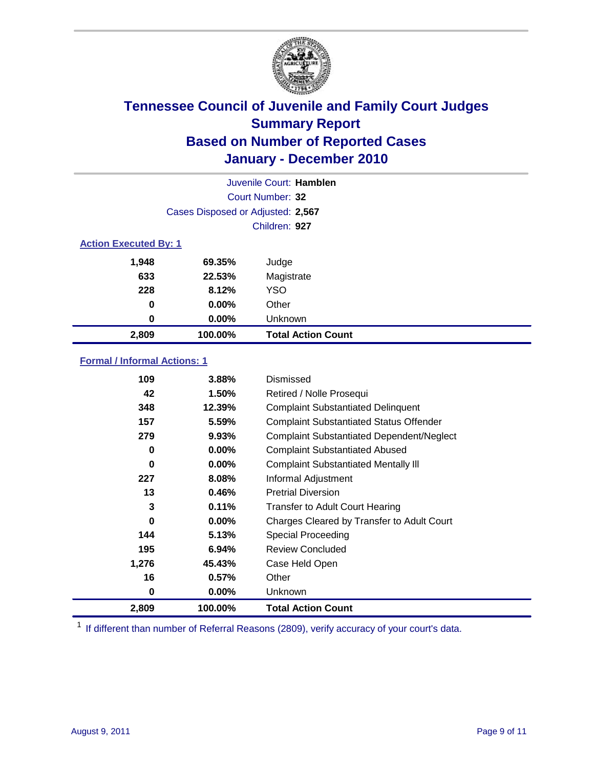

|                              | Juvenile Court: Hamblen           |                           |  |  |  |
|------------------------------|-----------------------------------|---------------------------|--|--|--|
|                              | Court Number: 32                  |                           |  |  |  |
|                              | Cases Disposed or Adjusted: 2,567 |                           |  |  |  |
|                              | Children: 927                     |                           |  |  |  |
| <b>Action Executed By: 1</b> |                                   |                           |  |  |  |
| 1,948                        | 69.35%                            | Judge                     |  |  |  |
| 633                          | 22.53%                            | Magistrate                |  |  |  |
| 228                          | 8.12%                             | <b>YSO</b>                |  |  |  |
| 0                            | $0.00\%$                          | Other                     |  |  |  |
| 0                            | $0.00\%$                          | Unknown                   |  |  |  |
| 2,809                        | 100.00%                           | <b>Total Action Count</b> |  |  |  |

### **Formal / Informal Actions: 1**

| 109   | 3.88%    | Dismissed                                        |
|-------|----------|--------------------------------------------------|
| 42    | 1.50%    | Retired / Nolle Prosequi                         |
| 348   | 12.39%   | <b>Complaint Substantiated Delinquent</b>        |
| 157   | 5.59%    | <b>Complaint Substantiated Status Offender</b>   |
| 279   | 9.93%    | <b>Complaint Substantiated Dependent/Neglect</b> |
| 0     | $0.00\%$ | <b>Complaint Substantiated Abused</b>            |
| 0     | $0.00\%$ | <b>Complaint Substantiated Mentally III</b>      |
| 227   | 8.08%    | Informal Adjustment                              |
| 13    | 0.46%    | <b>Pretrial Diversion</b>                        |
| 3     | 0.11%    | <b>Transfer to Adult Court Hearing</b>           |
| 0     | $0.00\%$ | Charges Cleared by Transfer to Adult Court       |
| 144   | 5.13%    | Special Proceeding                               |
| 195   | 6.94%    | <b>Review Concluded</b>                          |
| 1,276 | 45.43%   | Case Held Open                                   |
| 16    | 0.57%    | Other                                            |
| 0     | $0.00\%$ | <b>Unknown</b>                                   |
| 2,809 | 100.00%  | <b>Total Action Count</b>                        |

<sup>1</sup> If different than number of Referral Reasons (2809), verify accuracy of your court's data.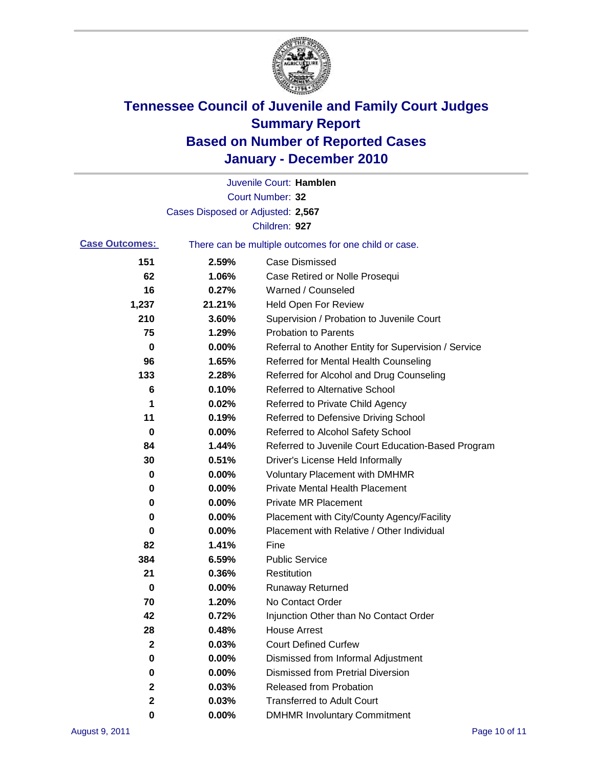

|                       |                                   | Juvenile Court: Hamblen                               |
|-----------------------|-----------------------------------|-------------------------------------------------------|
|                       |                                   | Court Number: 32                                      |
|                       | Cases Disposed or Adjusted: 2,567 |                                                       |
|                       |                                   | Children: 927                                         |
| <b>Case Outcomes:</b> |                                   | There can be multiple outcomes for one child or case. |
| 151                   | 2.59%                             | <b>Case Dismissed</b>                                 |
| 62                    | 1.06%                             | Case Retired or Nolle Prosequi                        |
| 16                    | 0.27%                             | Warned / Counseled                                    |
| 1,237                 | 21.21%                            | Held Open For Review                                  |
| 210                   | 3.60%                             | Supervision / Probation to Juvenile Court             |
| 75                    | 1.29%                             | <b>Probation to Parents</b>                           |
| 0                     | 0.00%                             | Referral to Another Entity for Supervision / Service  |
| 96                    | 1.65%                             | Referred for Mental Health Counseling                 |
| 133                   | 2.28%                             | Referred for Alcohol and Drug Counseling              |
| 6                     | 0.10%                             | <b>Referred to Alternative School</b>                 |
| 1                     | 0.02%                             | Referred to Private Child Agency                      |
| 11                    | 0.19%                             | Referred to Defensive Driving School                  |
| 0                     | 0.00%                             | Referred to Alcohol Safety School                     |
| 84                    | 1.44%                             | Referred to Juvenile Court Education-Based Program    |
| 30                    | 0.51%                             | Driver's License Held Informally                      |
| 0                     | 0.00%                             | <b>Voluntary Placement with DMHMR</b>                 |
| 0                     | 0.00%                             | <b>Private Mental Health Placement</b>                |
| 0                     | 0.00%                             | <b>Private MR Placement</b>                           |
| 0                     | 0.00%                             | Placement with City/County Agency/Facility            |
| 0                     | 0.00%                             | Placement with Relative / Other Individual            |
| 82                    | 1.41%                             | Fine                                                  |
| 384                   | 6.59%                             | <b>Public Service</b>                                 |
| 21                    | 0.36%                             | Restitution                                           |
| 0                     | 0.00%                             | <b>Runaway Returned</b>                               |
| 70                    | 1.20%                             | No Contact Order                                      |
| 42                    | 0.72%                             | Injunction Other than No Contact Order                |
| 28                    | 0.48%                             | <b>House Arrest</b>                                   |
| $\mathbf{2}$          | 0.03%                             | <b>Court Defined Curfew</b>                           |
| 0                     | 0.00%                             | Dismissed from Informal Adjustment                    |
| 0                     | 0.00%                             | <b>Dismissed from Pretrial Diversion</b>              |
| 2                     | 0.03%                             | <b>Released from Probation</b>                        |
| $\mathbf{2}$          | 0.03%                             | <b>Transferred to Adult Court</b>                     |
| 0                     | $0.00\%$                          | <b>DMHMR Involuntary Commitment</b>                   |